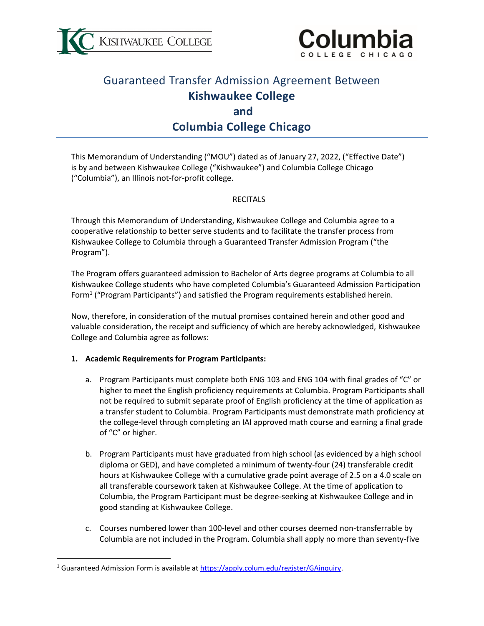



# Guaranteed Transfer Admission Agreement Between **Kishwaukee College and Columbia College Chicago**

This Memorandum of Understanding ("MOU") dated as of January 27, 2022, ("Effective Date") is by and between Kishwaukee College ("Kishwaukee") and Columbia College Chicago ("Columbia"), an Illinois not-for-profit college.

#### RECITALS

Through this Memorandum of Understanding, Kishwaukee College and Columbia agree to a cooperative relationship to better serve students and to facilitate the transfer process from Kishwaukee College to Columbia through a Guaranteed Transfer Admission Program ("the Program").

The Program offers guaranteed admission to Bachelor of Arts degree programs at Columbia to all Kishwaukee College students who have completed Columbia's Guaranteed Admission Participation Form<sup>1</sup> ("Program Participants") and satisfied the Program requirements established herein.

Now, therefore, in consideration of the mutual promises contained herein and other good and valuable consideration, the receipt and sufficiency of which are hereby acknowledged, Kishwaukee College and Columbia agree as follows:

#### **1. Academic Requirements for Program Participants:**

- a. Program Participants must complete both ENG 103 and ENG 104 with final grades of "C" or higher to meet the English proficiency requirements at Columbia. Program Participants shall not be required to submit separate proof of English proficiency at the time of application as a transfer student to Columbia. Program Participants must demonstrate math proficiency at the college-level through completing an IAI approved math course and earning a final grade of "C" or higher.
- b. Program Participants must have graduated from high school (as evidenced by a high school diploma or GED), and have completed a minimum of twenty-four (24) transferable credit hours at Kishwaukee College with a cumulative grade point average of 2.5 on a 4.0 scale on all transferable coursework taken at Kishwaukee College. At the time of application to Columbia, the Program Participant must be degree-seeking at Kishwaukee College and in good standing at Kishwaukee College.
- c. Courses numbered lower than 100-level and other courses deemed non-transferrable by Columbia are not included in the Program. Columbia shall apply no more than seventy-five

<sup>&</sup>lt;sup>1</sup> Guaranteed Admission Form is available at [https://apply.colum.edu/register/GAinquiry.](https://apply.colum.edu/register/GAinquiry)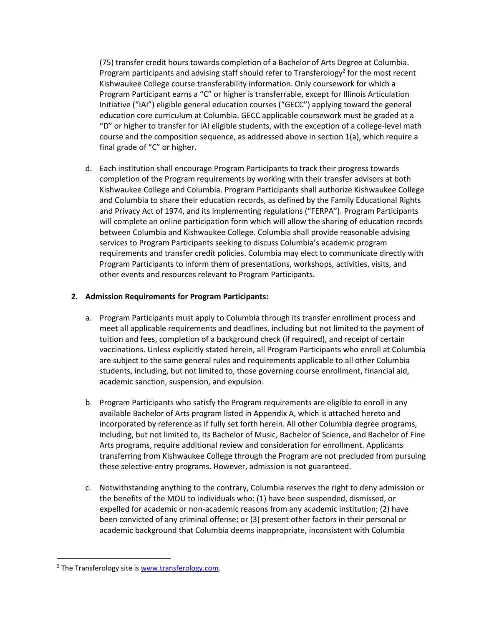(75) transfer credit hours towards completion of a Bachelor of Arts Degree at Columbia. Program participants and advising staff should refer to Transferology<sup>2</sup> for the most recent Kishwaukee College course transferability information. Only coursework for which a Program Participant earns a "C" or higher is transferrable, except for Illinois Articulation Initiative ("IAI") eligible general education courses ("GECC") applying toward the general education core curriculum at Columbia. GECC applicable coursework must be graded at a "D" or higher to transfer for IAI eligible students, with the exception of a college-level math course and the composition sequence, as addressed above in section 1(a), which require a final grade of "C" or higher.

d. Each institution shall encourage Program Participants to track their progress towards completion of the Program requirements by working with their transfer advisors at both Kishwaukee College and Columbia. Program Participants shall authorize Kishwaukee College and Columbia to share their education records, as defined by the Family Educational Rights and Privacy Act of 1974, and its implementing regulations ("FERPA"). Program Participants will complete an online participation form which will allow the sharing of education records between Columbia and Kishwaukee College. Columbia shall provide reasonable advising services to Program Participants seeking to discuss Columbia's academic program requirements and transfer credit policies. Columbia may elect to communicate directly with Program Participants to inform them of presentations, workshops, activities, visits, and other events and resources relevant to Program Participants.

#### **2. Admission Requirements for Program Participants:**

- a. Program Participants must apply to Columbia through its transfer enrollment process and meet all applicable requirements and deadlines, including but not limited to the payment of tuition and fees, completion of a background check (if required), and receipt of certain vaccinations. Unless explicitly stated herein, all Program Participants who enroll at Columbia are subject to the same general rules and requirements applicable to all other Columbia students, including, but not limited to, those governing course enrollment, financial aid, academic sanction, suspension, and expulsion.
- b. Program Participants who satisfy the Program requirements are eligible to enroll in any available Bachelor of Arts program listed in Appendix A, which is attached hereto and incorporated by reference as if fully set forth herein. All other Columbia degree programs, including, but not limited to, its Bachelor of Music, Bachelor of Science, and Bachelor of Fine Arts programs, require additional review and consideration for enrollment. Applicants transferring from Kishwaukee College through the Program are not precluded from pursuing these selective-entry programs. However, admission is not guaranteed.
- c. Notwithstanding anything to the contrary, Columbia reserves the right to deny admission or the benefits of the MOU to individuals who: (1) have been suspended, dismissed, or expelled for academic or non-academic reasons from any academic institution; (2) have been convicted of any criminal offense; or (3) present other factors in their personal or academic background that Columbia deems inappropriate, inconsistent with Columbia

 $2$  The Transferology site is [www.transferology.com.](http://www.transferology.com/)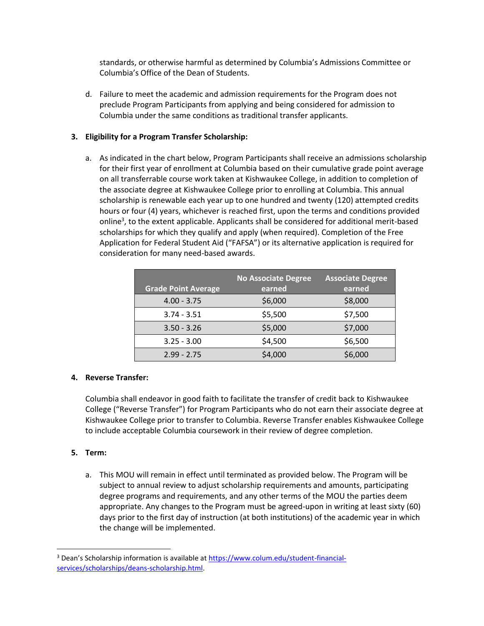standards, or otherwise harmful as determined by Columbia's Admissions Committee or Columbia's Office of the Dean of Students.

d. Failure to meet the academic and admission requirements for the Program does not preclude Program Participants from applying and being considered for admission to Columbia under the same conditions as traditional transfer applicants.

#### **3. Eligibility for a Program Transfer Scholarship:**

a. As indicated in the chart below, Program Participants shall receive an admissions scholarship for their first year of enrollment at Columbia based on their cumulative grade point average on all transferrable course work taken at Kishwaukee College, in addition to completion of the associate degree at Kishwaukee College prior to enrolling at Columbia. This annual scholarship is renewable each year up to one hundred and twenty (120) attempted credits hours or four (4) years, whichever is reached first, upon the terms and conditions provided online<sup>3</sup>, to the extent applicable. Applicants shall be considered for additional merit-based scholarships for which they qualify and apply (when required). Completion of the Free Application for Federal Student Aid ("FAFSA") or its alternative application is required for consideration for many need-based awards.

| <b>Grade Point Average</b> | <b>No Associate Degree</b><br>earned | <b>Associate Degree</b><br>earned |
|----------------------------|--------------------------------------|-----------------------------------|
| $4.00 - 3.75$              | \$6,000                              | \$8,000                           |
| $3.74 - 3.51$              | \$5,500                              | \$7,500                           |
| $3.50 - 3.26$              | \$5,000                              | \$7,000                           |
| $3.25 - 3.00$              | \$4,500                              | \$6,500                           |
| $2.99 - 2.75$              | \$4,000                              | \$6,000                           |

#### **4. Reverse Transfer:**

Columbia shall endeavor in good faith to facilitate the transfer of credit back to Kishwaukee College ("Reverse Transfer") for Program Participants who do not earn their associate degree at Kishwaukee College prior to transfer to Columbia. Reverse Transfer enables Kishwaukee College to include acceptable Columbia coursework in their review of degree completion.

#### **5. Term:**

a. This MOU will remain in effect until terminated as provided below. The Program will be subject to annual review to adjust scholarship requirements and amounts, participating degree programs and requirements, and any other terms of the MOU the parties deem appropriate. Any changes to the Program must be agreed-upon in writing at least sixty (60) days prior to the first day of instruction (at both institutions) of the academic year in which the change will be implemented.

<sup>&</sup>lt;sup>3</sup> Dean's Scholarship information is available at [https://www.colum.edu/student-financial](https://www.colum.edu/student-financial-services/scholarships/deans-scholarship.html)[services/scholarships/deans-scholarship.html.](https://www.colum.edu/student-financial-services/scholarships/deans-scholarship.html)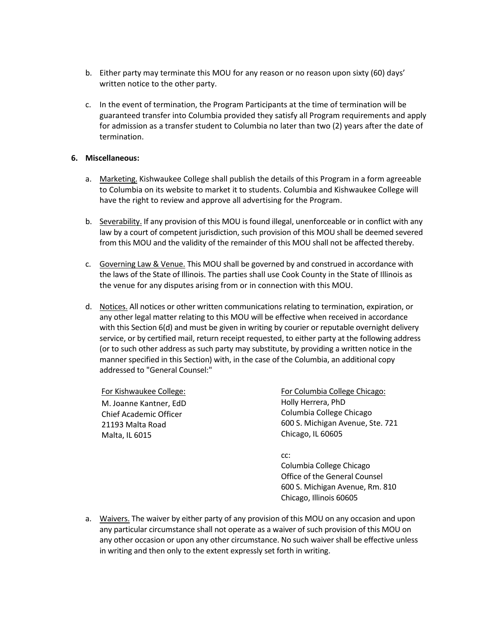- b. Either party may terminate this MOU for any reason or no reason upon sixty (60) days' written notice to the other party.
- c. In the event of termination, the Program Participants at the time of termination will be guaranteed transfer into Columbia provided they satisfy all Program requirements and apply for admission as a transfer student to Columbia no later than two (2) years after the date of termination.

#### **6. Miscellaneous:**

- a. Marketing. Kishwaukee College shall publish the details of this Program in a form agreeable to Columbia on its website to market it to students. Columbia and Kishwaukee College will have the right to review and approve all advertising for the Program.
- b. Severability. If any provision of this MOU is found illegal, unenforceable or in conflict with any law by a court of competent jurisdiction, such provision of this MOU shall be deemed severed from this MOU and the validity of the remainder of this MOU shall not be affected thereby.
- c. Governing Law & Venue. This MOU shall be governed by and construed in accordance with the laws of the State of Illinois. The parties shall use Cook County in the State of Illinois as the venue for any disputes arising from or in connection with this MOU.
- d. Notices. All notices or other written communications relating to termination, expiration, or any other legal matter relating to this MOU will be effective when received in accordance with this Section 6(d) and must be given in writing by courier or reputable overnight delivery service, or by certified mail, return receipt requested, to either party at the following address (or to such other address as such party may substitute, by providing a written notice in the manner specified in this Section) with, in the case of the Columbia, an additional copy addressed to "General Counsel:"

M. Joanne Kantner, EdD Chief Academic Officer 21193 Malta Road Malta, IL 6015

For Kishwaukee College: For Columbia College Chicago: Holly Herrera, PhD Columbia College Chicago 600 S. Michigan Avenue, Ste. 721 Chicago, IL 60605

> cc: Columbia College Chicago Office of the General Counsel 600 S. Michigan Avenue, Rm. 810

Chicago, Illinois 60605

a. Waivers. The waiver by either party of any provision of this MOU on any occasion and upon any particular circumstance shall not operate as a waiver of such provision of this MOU on any other occasion or upon any other circumstance. No such waiver shall be effective unless in writing and then only to the extent expressly set forth in writing.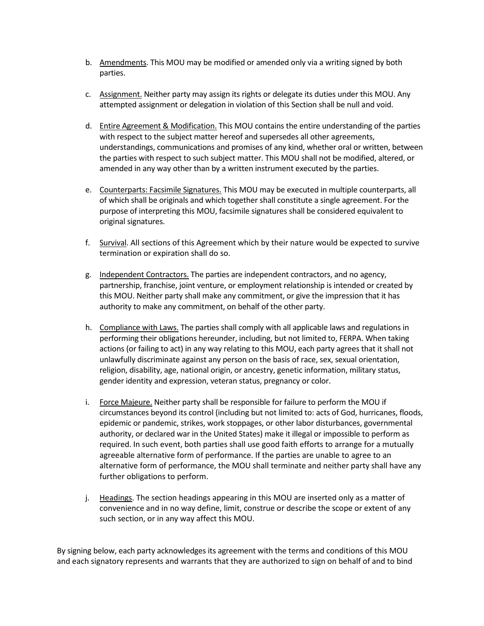- b. Amendments. This MOU may be modified or amended only via a writing signed by both parties.
- c. Assignment. Neither party may assign its rights or delegate its duties under this MOU. Any attempted assignment or delegation in violation of this Section shall be null and void.
- d. Entire Agreement & Modification. This MOU contains the entire understanding of the parties with respect to the subject matter hereof and supersedes all other agreements, understandings, communications and promises of any kind, whether oral or written, between the parties with respect to such subject matter. This MOU shall not be modified, altered, or amended in any way other than by a written instrument executed by the parties.
- e. Counterparts: Facsimile Signatures. This MOU may be executed in multiple counterparts, all of which shall be originals and which together shall constitute a single agreement. For the purpose of interpreting this MOU, facsimile signatures shall be considered equivalent to original signatures.
- f. Survival. All sections of this Agreement which by their nature would be expected to survive termination or expiration shall do so.
- g. Independent Contractors. The parties are independent contractors, and no agency, partnership, franchise, joint venture, or employment relationship is intended or created by this MOU. Neither party shall make any commitment, or give the impression that it has authority to make any commitment, on behalf of the other party.
- h. Compliance with Laws. The parties shall comply with all applicable laws and regulations in performing their obligations hereunder, including, but not limited to, FERPA. When taking actions (or failing to act) in any way relating to this MOU, each party agrees that it shall not unlawfully discriminate against any person on the basis of race, sex, sexual orientation, religion, disability, age, national origin, or ancestry, genetic information, military status, gender identity and expression, veteran status, pregnancy or color.
- i. Force Majeure. Neither party shall be responsible for failure to perform the MOU if circumstances beyond its control (including but not limited to: acts of God, hurricanes, floods, epidemic or pandemic, strikes, work stoppages, or other labor disturbances, governmental authority, or declared war in the United States) make it illegal or impossible to perform as required. In such event, both parties shall use good faith efforts to arrange for a mutually agreeable alternative form of performance. If the parties are unable to agree to an alternative form of performance, the MOU shall terminate and neither party shall have any further obligations to perform.
- j. Headings. The section headings appearing in this MOU are inserted only as a matter of convenience and in no way define, limit, construe or describe the scope or extent of any such section, or in any way affect this MOU.

By signing below, each party acknowledges its agreement with the terms and conditions of this MOU and each signatory represents and warrants that they are authorized to sign on behalf of and to bind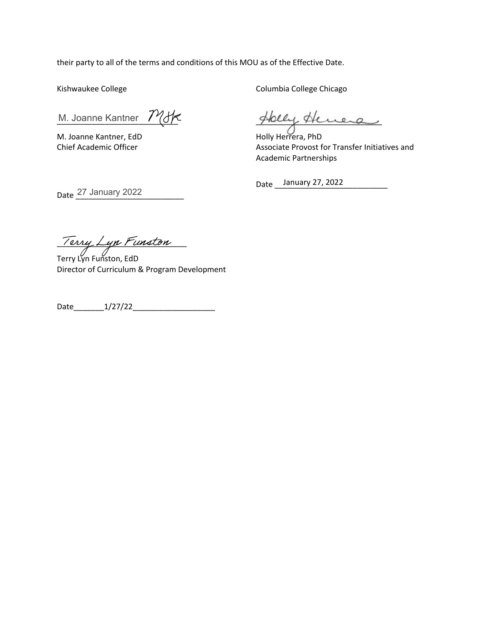their party to all of the terms and conditions of this MOU as of the Effective Date.

Kishwaukee College

M. Joanne Kantner / (d)

M. Joanne Kantner, EdD Chief Academic Officer

Columbia College Chicago

Hely Henera

Holly Herrera, PhD Associate Provost for Transfer Initiatives and Academic Partnerships

Date <u>January 27, 2022</u>

 $\mu$  /erry Lyn Punston

Date 27 January 2022

Terry Lyn Funston, EdD Director of Curriculum & Program Development

Date\_\_\_\_\_\_\_1/27/22\_\_\_\_\_\_\_\_\_\_\_\_\_\_\_\_\_\_\_